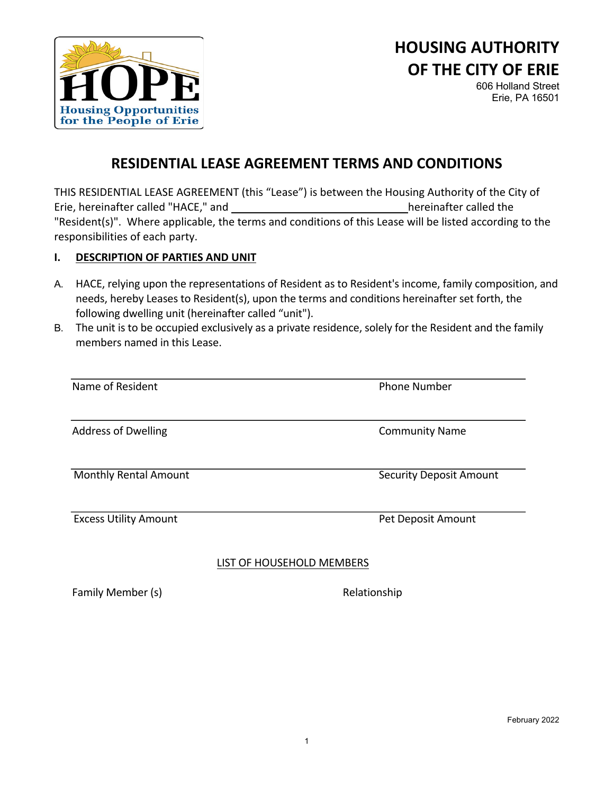

# **HOUSING AUTHORITY OF THE CITY OF ERIE**

606 Holland Street Erie, PA 16501

# **RESIDENTIAL LEASE AGREEMENT TERMS AND CONDITIONS**

THIS RESIDENTIAL LEASE AGREEMENT (this "Lease") is between the Housing Authority of the City of Erie, hereinafter called "HACE," and hereinafter called the "Resident(s)". Where applicable, the terms and conditions of this Lease will be listed according to the responsibilities of each party.

#### **I. DESCRIPTION OF PARTIES AND UNIT**

- A. HACE, relying upon the representations of Resident as to Resident's income, family composition, and needs, hereby Leases to Resident(s), upon the terms and conditions hereinafter set forth, the following dwelling unit (hereinafter called "unit").
- B. The unit is to be occupied exclusively as a private residence, solely for the Resident and the family members named in this Lease.

| Name of Resident             | <b>Phone Number</b>            |
|------------------------------|--------------------------------|
| <b>Address of Dwelling</b>   | <b>Community Name</b>          |
| <b>Monthly Rental Amount</b> | <b>Security Deposit Amount</b> |
| <b>Excess Utility Amount</b> | Pet Deposit Amount             |

#### LIST OF HOUSEHOLD MEMBERS

Family Member (s) and the control of the Relationship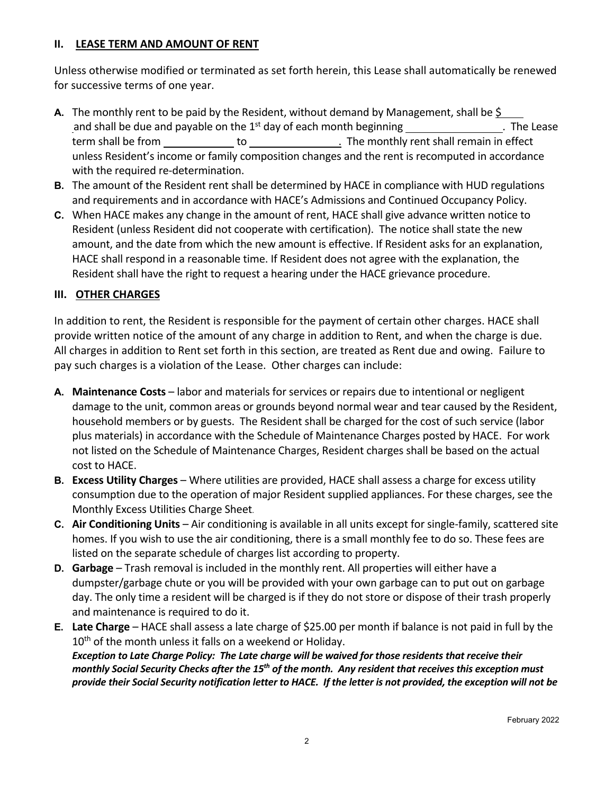#### **II. LEASE TERM AND AMOUNT OF RENT**

Unless otherwise modified or terminated as set forth herein, this Lease shall automatically be renewed for successive terms of one year.

- **A.** The monthly rent to be paid by the Resident, without demand by Management, shall be \$ and shall be due and payable on the  $1<sup>st</sup>$  day of each month beginning \_\_\_\_\_\_\_\_\_\_\_\_\_\_\_\_. The Lease term shall be from to to to the monthly rent shall remain in effect unless Resident's income or family composition changes and the rent is recomputed in accordance with the required re-determination.
- **B.** The amount of the Resident rent shall be determined by HACE in compliance with HUD regulations and requirements and in accordance with HACE's Admissions and Continued Occupancy Policy.
- **C.** When HACE makes any change in the amount of rent, HACE shall give advance written notice to Resident (unless Resident did not cooperate with certification). The notice shall state the new amount, and the date from which the new amount is effective. If Resident asks for an explanation, HACE shall respond in a reasonable time. If Resident does not agree with the explanation, the Resident shall have the right to request a hearing under the HACE grievance procedure.

#### **III. OTHER CHARGES**

In addition to rent, the Resident is responsible for the payment of certain other charges. HACE shall provide written notice of the amount of any charge in addition to Rent, and when the charge is due. All charges in addition to Rent set forth in this section, are treated as Rent due and owing. Failure to pay such charges is a violation of the Lease. Other charges can include:

- **A. Maintenance Costs**  labor and materials for services or repairs due to intentional or negligent damage to the unit, common areas or grounds beyond normal wear and tear caused by the Resident, household members or by guests. The Resident shall be charged for the cost of such service (labor plus materials) in accordance with the Schedule of Maintenance Charges posted by HACE. For work not listed on the Schedule of Maintenance Charges, Resident charges shall be based on the actual cost to HACE.
- **B. Excess Utility Charges** Where utilities are provided, HACE shall assess a charge for excess utility consumption due to the operation of major Resident supplied appliances. For these charges, see the Monthly Excess Utilities Charge Sheet.
- **C. Air Conditioning Units** Air conditioning is available in all units except for single-family, scattered site homes. If you wish to use the air conditioning, there is a small monthly fee to do so. These fees are listed on the separate schedule of charges list according to property.
- **D. Garbage** Trash removal is included in the monthly rent. All properties will either have a dumpster/garbage chute or you will be provided with your own garbage can to put out on garbage day. The only time a resident will be charged is if they do not store or dispose of their trash properly and maintenance is required to do it.
- **E. Late Charge** HACE shall assess a late charge of \$25.00 per month if balance is not paid in full by the 10<sup>th</sup> of the month unless it falls on a weekend or Holiday. *Exception to Late Charge Policy: The Late charge will be waived for those residents that receive their monthly Social Security Checks after the 15th of the month. Any resident that receives this exception must provide their Social Security notification letter to HACE. If the letter is not provided, the exception will not be*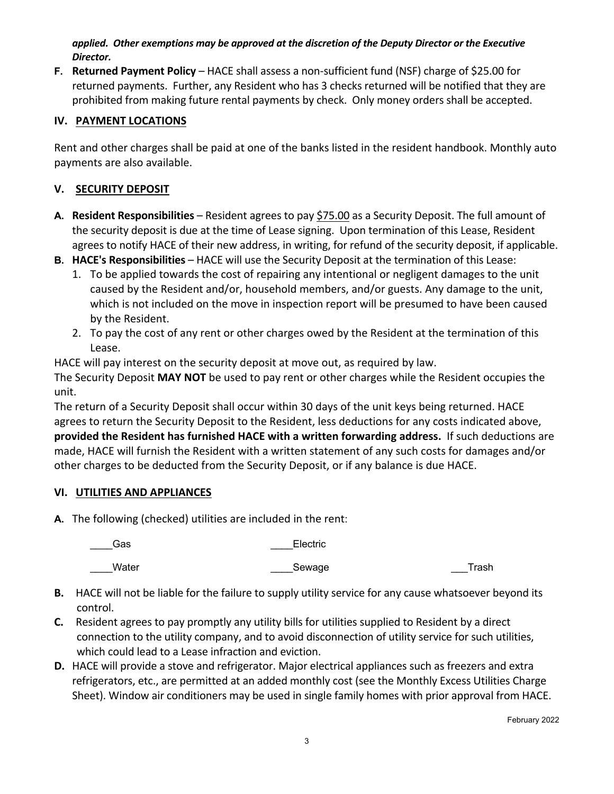*applied. Other exemptions may be approved at the discretion of the Deputy Director or the Executive Director.*

**F. Returned Payment Policy** – HACE shall assess a non-sufficient fund (NSF) charge of \$25.00 for returned payments. Further, any Resident who has 3 checks returned will be notified that they are prohibited from making future rental payments by check. Only money orders shall be accepted.

# **IV. PAYMENT LOCATIONS**

Rent and other charges shall be paid at one of the banks listed in the resident handbook. Monthly auto payments are also available.

#### **V. SECURITY DEPOSIT**

- **A. Resident Responsibilities** Resident agrees to pay \$75.00 as a Security Deposit. The full amount of the security deposit is due at the time of Lease signing. Upon termination of this Lease, Resident agrees to notify HACE of their new address, in writing, for refund of the security deposit, if applicable.
- **B. HACE's Responsibilities** HACE will use the Security Deposit at the termination of this Lease:
	- 1. To be applied towards the cost of repairing any intentional or negligent damages to the unit caused by the Resident and/or, household members, and/or guests. Any damage to the unit, which is not included on the move in inspection report will be presumed to have been caused by the Resident.
	- 2. To pay the cost of any rent or other charges owed by the Resident at the termination of this Lease.

HACE will pay interest on the security deposit at move out, as required by law.

The Security Deposit **MAY NOT** be used to pay rent or other charges while the Resident occupies the unit.

The return of a Security Deposit shall occur within 30 days of the unit keys being returned. HACE agrees to return the Security Deposit to the Resident, less deductions for any costs indicated above, **provided the Resident has furnished HACE with a written forwarding address.** If such deductions are made, HACE will furnish the Resident with a written statement of any such costs for damages and/or other charges to be deducted from the Security Deposit, or if any balance is due HACE.

#### **VI. UTILITIES AND APPLIANCES**

**A.** The following (checked) utilities are included in the rent:

| ____Gas | Electric   |       |
|---------|------------|-------|
| Water   | ____Sewage | Trash |

- **B.** HACE will not be liable for the failure to supply utility service for any cause whatsoever beyond its control.
- **C.** Resident agrees to pay promptly any utility bills for utilities supplied to Resident by a direct connection to the utility company, and to avoid disconnection of utility service for such utilities, which could lead to a Lease infraction and eviction.
- **D.** HACE will provide a stove and refrigerator. Major electrical appliances such as freezers and extra refrigerators, etc., are permitted at an added monthly cost (see the Monthly Excess Utilities Charge Sheet). Window air conditioners may be used in single family homes with prior approval from HACE.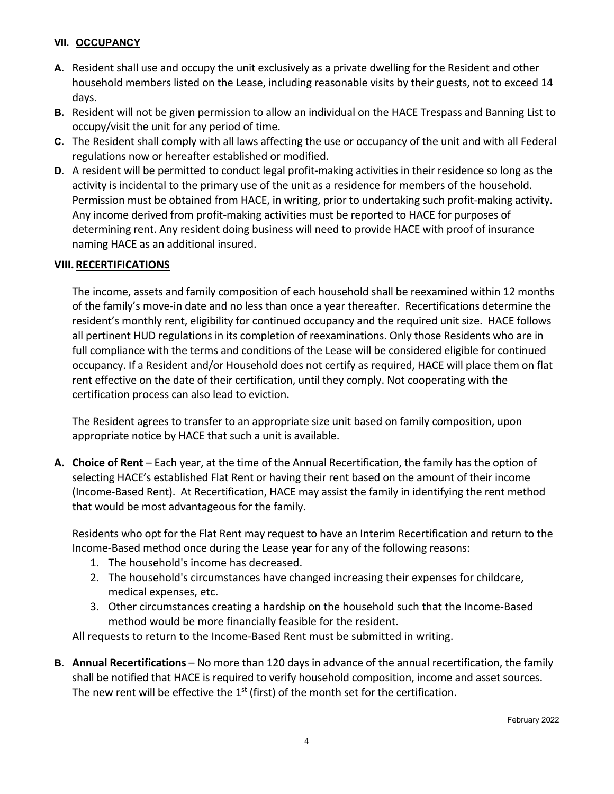#### **VII. OCCUPANCY**

- **A.** Resident shall use and occupy the unit exclusively as a private dwelling for the Resident and other household members listed on the Lease, including reasonable visits by their guests, not to exceed 14 days.
- **B.** Resident will not be given permission to allow an individual on the HACE Trespass and Banning List to occupy/visit the unit for any period of time.
- **C.** The Resident shall comply with all laws affecting the use or occupancy of the unit and with all Federal regulations now or hereafter established or modified.
- **D.** A resident will be permitted to conduct legal profit-making activities in their residence so long as the activity is incidental to the primary use of the unit as a residence for members of the household. Permission must be obtained from HACE, in writing, prior to undertaking such profit-making activity. Any income derived from profit-making activities must be reported to HACE for purposes of determining rent. Any resident doing business will need to provide HACE with proof of insurance naming HACE as an additional insured.

#### **VIII. RECERTIFICATIONS**

The income, assets and family composition of each household shall be reexamined within 12 months of the family's move-in date and no less than once a year thereafter. Recertifications determine the resident's monthly rent, eligibility for continued occupancy and the required unit size. HACE follows all pertinent HUD regulations in its completion of reexaminations. Only those Residents who are in full compliance with the terms and conditions of the Lease will be considered eligible for continued occupancy. If a Resident and/or Household does not certify as required, HACE will place them on flat rent effective on the date of their certification, until they comply. Not cooperating with the certification process can also lead to eviction.

The Resident agrees to transfer to an appropriate size unit based on family composition, upon appropriate notice by HACE that such a unit is available.

**A. Choice of Rent** – Each year, at the time of the Annual Recertification, the family has the option of selecting HACE's established Flat Rent or having their rent based on the amount of their income (Income-Based Rent). At Recertification, HACE may assist the family in identifying the rent method that would be most advantageous for the family.

Residents who opt for the Flat Rent may request to have an Interim Recertification and return to the Income-Based method once during the Lease year for any of the following reasons:

- 1. The household's income has decreased.
- 2. The household's circumstances have changed increasing their expenses for childcare, medical expenses, etc.
- 3. Other circumstances creating a hardship on the household such that the Income-Based method would be more financially feasible for the resident.

All requests to return to the Income-Based Rent must be submitted in writing.

**B. Annual Recertifications** – No more than 120 days in advance of the annual recertification, the family shall be notified that HACE is required to verify household composition, income and asset sources. The new rent will be effective the  $1<sup>st</sup>$  (first) of the month set for the certification.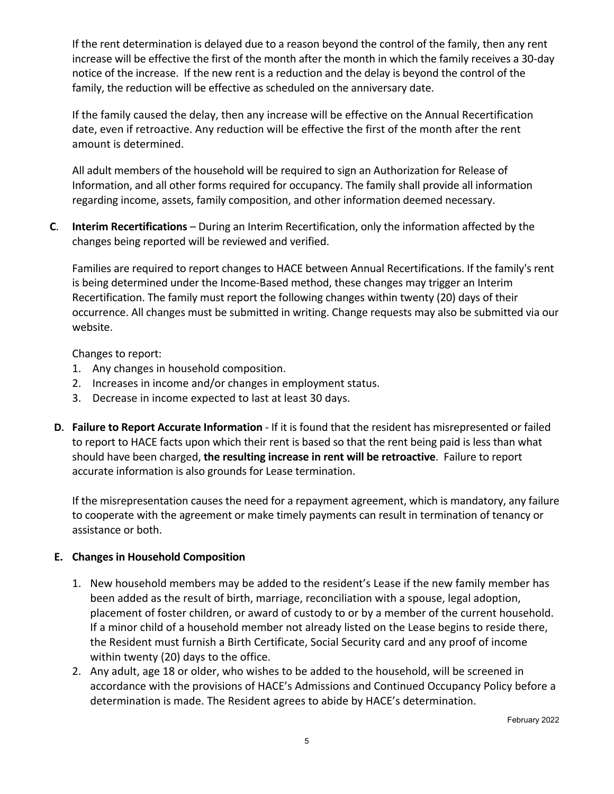If the rent determination is delayed due to a reason beyond the control of the family, then any rent increase will be effective the first of the month after the month in which the family receives a 30-day notice of the increase. If the new rent is a reduction and the delay is beyond the control of the family, the reduction will be effective as scheduled on the anniversary date.

If the family caused the delay, then any increase will be effective on the Annual Recertification date, even if retroactive. Any reduction will be effective the first of the month after the rent amount is determined.

All adult members of the household will be required to sign an Authorization for Release of Information, and all other forms required for occupancy. The family shall provide all information regarding income, assets, family composition, and other information deemed necessary.

**C**. **Interim Recertifications** – During an Interim Recertification, only the information affected by the changes being reported will be reviewed and verified.

Families are required to report changes to HACE between Annual Recertifications. If the family's rent is being determined under the Income-Based method, these changes may trigger an Interim Recertification. The family must report the following changes within twenty (20) days of their occurrence. All changes must be submitted in writing. Change requests may also be submitted via our website.

Changes to report:

- 1. Any changes in household composition.
- 2. Increases in income and/or changes in employment status.
- 3. Decrease in income expected to last at least 30 days.
- **D. Failure to Report Accurate Information** If it is found that the resident has misrepresented or failed to report to HACE facts upon which their rent is based so that the rent being paid is less than what should have been charged, **the resulting increase in rent will be retroactive**. Failure to report accurate information is also grounds for Lease termination.

If the misrepresentation causes the need for a repayment agreement, which is mandatory, any failure to cooperate with the agreement or make timely payments can result in termination of tenancy or assistance or both.

#### **E. Changes in Household Composition**

- 1. New household members may be added to the resident's Lease if the new family member has been added as the result of birth, marriage, reconciliation with a spouse, legal adoption, placement of foster children, or award of custody to or by a member of the current household. If a minor child of a household member not already listed on the Lease begins to reside there, the Resident must furnish a Birth Certificate, Social Security card and any proof of income within twenty (20) days to the office.
- 2. Any adult, age 18 or older, who wishes to be added to the household, will be screened in accordance with the provisions of HACE's Admissions and Continued Occupancy Policy before a determination is made. The Resident agrees to abide by HACE's determination.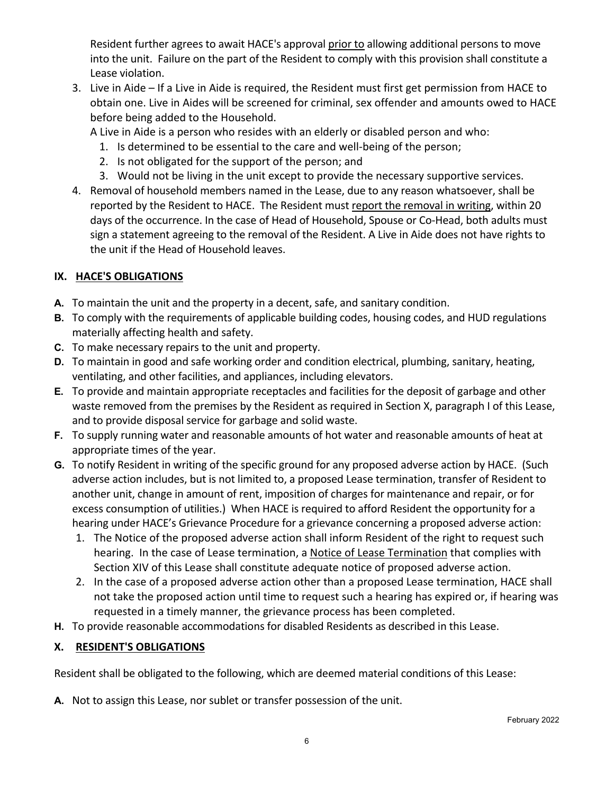Resident further agrees to await HACE's approval prior to allowing additional persons to move into the unit. Failure on the part of the Resident to comply with this provision shall constitute a Lease violation.

3. Live in Aide – If a Live in Aide is required, the Resident must first get permission from HACE to obtain one. Live in Aides will be screened for criminal, sex offender and amounts owed to HACE before being added to the Household.

A Live in Aide is a person who resides with an elderly or disabled person and who:

- 1. Is determined to be essential to the care and well-being of the person;
- 2. Is not obligated for the support of the person; and
- 3. Would not be living in the unit except to provide the necessary supportive services.
- 4. Removal of household members named in the Lease, due to any reason whatsoever, shall be reported by the Resident to HACE. The Resident must report the removal in writing, within 20 days of the occurrence. In the case of Head of Household, Spouse or Co-Head, both adults must sign a statement agreeing to the removal of the Resident. A Live in Aide does not have rights to the unit if the Head of Household leaves.

#### **IX. HACE'S OBLIGATIONS**

- **A.** To maintain the unit and the property in a decent, safe, and sanitary condition.
- **B.** To comply with the requirements of applicable building codes, housing codes, and HUD regulations materially affecting health and safety.
- **C.** To make necessary repairs to the unit and property.
- **D.** To maintain in good and safe working order and condition electrical, plumbing, sanitary, heating, ventilating, and other facilities, and appliances, including elevators.
- **E.** To provide and maintain appropriate receptacles and facilities for the deposit of garbage and other waste removed from the premises by the Resident as required in Section X, paragraph I of this Lease, and to provide disposal service for garbage and solid waste.
- **F.** To supply running water and reasonable amounts of hot water and reasonable amounts of heat at appropriate times of the year.
- **G.** To notify Resident in writing of the specific ground for any proposed adverse action by HACE. (Such adverse action includes, but is not limited to, a proposed Lease termination, transfer of Resident to another unit, change in amount of rent, imposition of charges for maintenance and repair, or for excess consumption of utilities.) When HACE is required to afford Resident the opportunity for a hearing under HACE's Grievance Procedure for a grievance concerning a proposed adverse action:
	- 1. The Notice of the proposed adverse action shall inform Resident of the right to request such hearing. In the case of Lease termination, a Notice of Lease Termination that complies with Section XIV of this Lease shall constitute adequate notice of proposed adverse action.
	- 2. In the case of a proposed adverse action other than a proposed Lease termination, HACE shall not take the proposed action until time to request such a hearing has expired or, if hearing was requested in a timely manner, the grievance process has been completed.
- **H.** To provide reasonable accommodations for disabled Residents as described in this Lease.

#### **X. RESIDENT'S OBLIGATIONS**

Resident shall be obligated to the following, which are deemed material conditions of this Lease:

**A.** Not to assign this Lease, nor sublet or transfer possession of the unit.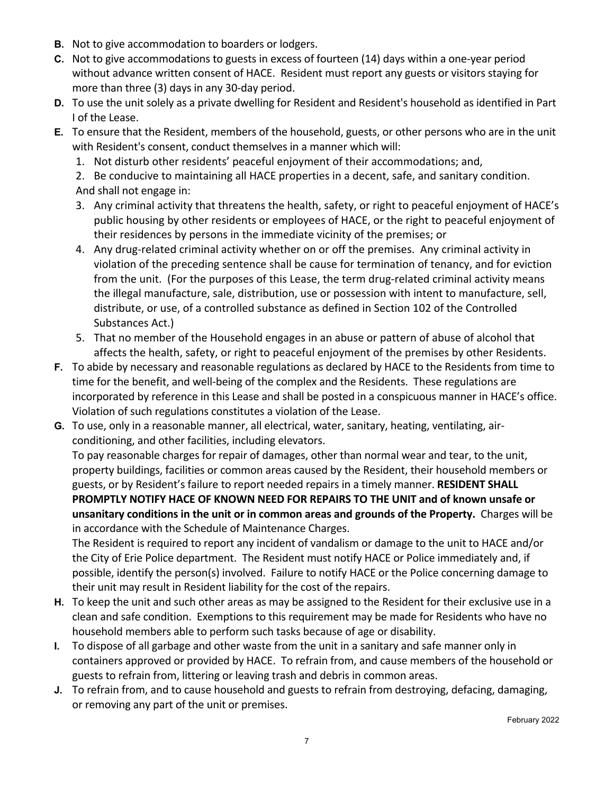- **B.** Not to give accommodation to boarders or lodgers.
- **C.** Not to give accommodations to guests in excess of fourteen (14) days within a one-year period without advance written consent of HACE. Resident must report any guests or visitors staying for more than three (3) days in any 30-day period.
- **D.** To use the unit solely as a private dwelling for Resident and Resident's household as identified in Part I of the Lease.
- **E.** To ensure that the Resident, members of the household, guests, or other persons who are in the unit with Resident's consent, conduct themselves in a manner which will:
	- 1. Not disturb other residents' peaceful enjoyment of their accommodations; and,

2. Be conducive to maintaining all HACE properties in a decent, safe, and sanitary condition. And shall not engage in:

- 3. Any criminal activity that threatens the health, safety, or right to peaceful enjoyment of HACE's public housing by other residents or employees of HACE, or the right to peaceful enjoyment of their residences by persons in the immediate vicinity of the premises; or
- 4. Any drug-related criminal activity whether on or off the premises. Any criminal activity in violation of the preceding sentence shall be cause for termination of tenancy, and for eviction from the unit. (For the purposes of this Lease, the term drug-related criminal activity means the illegal manufacture, sale, distribution, use or possession with intent to manufacture, sell, distribute, or use, of a controlled substance as defined in Section 102 of the Controlled Substances Act.)
- 5. That no member of the Household engages in an abuse or pattern of abuse of alcohol that affects the health, safety, or right to peaceful enjoyment of the premises by other Residents.
- **F.** To abide by necessary and reasonable regulations as declared by HACE to the Residents from time to time for the benefit, and well-being of the complex and the Residents. These regulations are incorporated by reference in this Lease and shall be posted in a conspicuous manner in HACE's office. Violation of such regulations constitutes a violation of the Lease.
- **G.** To use, only in a reasonable manner, all electrical, water, sanitary, heating, ventilating, airconditioning, and other facilities, including elevators.

To pay reasonable charges for repair of damages, other than normal wear and tear, to the unit, property buildings, facilities or common areas caused by the Resident, their household members or guests, or by Resident's failure to report needed repairs in a timely manner. **RESIDENT SHALL PROMPTLY NOTIFY HACE OF KNOWN NEED FOR REPAIRS TO THE UNIT and of known unsafe or unsanitary conditions in the unit or in common areas and grounds of the Property.** Charges will be in accordance with the Schedule of Maintenance Charges.

The Resident is required to report any incident of vandalism or damage to the unit to HACE and/or the City of Erie Police department. The Resident must notify HACE or Police immediately and, if possible, identify the person(s) involved. Failure to notify HACE or the Police concerning damage to their unit may result in Resident liability for the cost of the repairs.

- **H.** To keep the unit and such other areas as may be assigned to the Resident for their exclusive use in a clean and safe condition. Exemptions to this requirement may be made for Residents who have no household members able to perform such tasks because of age or disability.
- **I.** To dispose of all garbage and other waste from the unit in a sanitary and safe manner only in containers approved or provided by HACE. To refrain from, and cause members of the household or guests to refrain from, littering or leaving trash and debris in common areas.
- **J.** To refrain from, and to cause household and guests to refrain from destroying, defacing, damaging, or removing any part of the unit or premises.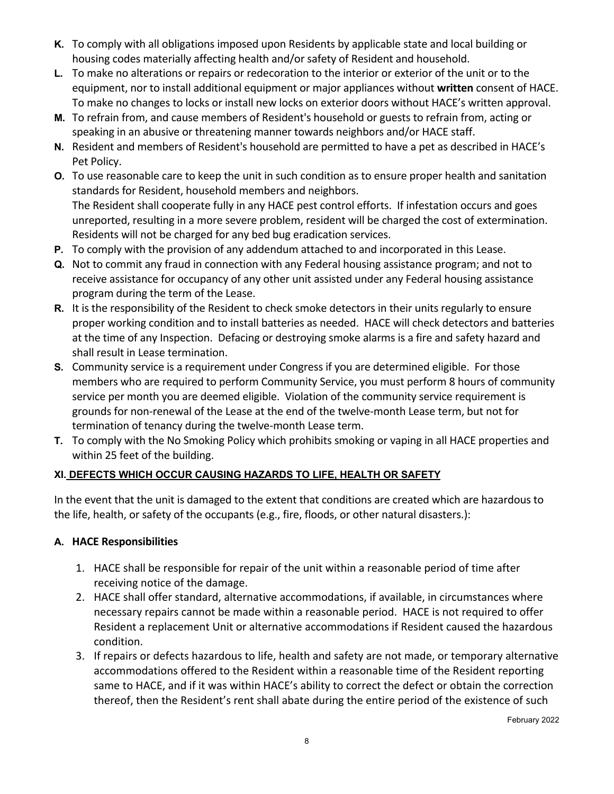- **K.** To comply with all obligations imposed upon Residents by applicable state and local building or housing codes materially affecting health and/or safety of Resident and household.
- **L.** To make no alterations or repairs or redecoration to the interior or exterior of the unit or to the equipment, nor to install additional equipment or major appliances without **written** consent of HACE. To make no changes to locks or install new locks on exterior doors without HACE's written approval.
- **M.** To refrain from, and cause members of Resident's household or guests to refrain from, acting or speaking in an abusive or threatening manner towards neighbors and/or HACE staff.
- **N.** Resident and members of Resident's household are permitted to have a pet as described in HACE's Pet Policy.
- **O.** To use reasonable care to keep the unit in such condition as to ensure proper health and sanitation standards for Resident, household members and neighbors. The Resident shall cooperate fully in any HACE pest control efforts. If infestation occurs and goes unreported, resulting in a more severe problem, resident will be charged the cost of extermination. Residents will not be charged for any bed bug eradication services.
- **P.** To comply with the provision of any addendum attached to and incorporated in this Lease.
- **Q.** Not to commit any fraud in connection with any Federal housing assistance program; and not to receive assistance for occupancy of any other unit assisted under any Federal housing assistance program during the term of the Lease.
- **R.** It is the responsibility of the Resident to check smoke detectors in their units regularly to ensure proper working condition and to install batteries as needed. HACE will check detectors and batteries at the time of any Inspection. Defacing or destroying smoke alarms is a fire and safety hazard and shall result in Lease termination.
- **S.** Community service is a requirement under Congress if you are determined eligible. For those members who are required to perform Community Service, you must perform 8 hours of community service per month you are deemed eligible. Violation of the community service requirement is grounds for non-renewal of the Lease at the end of the twelve-month Lease term, but not for termination of tenancy during the twelve-month Lease term.
- **T.** To comply with the No Smoking Policy which prohibits smoking or vaping in all HACE properties and within 25 feet of the building.

# **XI. DEFECTS WHICH OCCUR CAUSING HAZARDS TO LIFE, HEALTH OR SAFETY**

In the event that the unit is damaged to the extent that conditions are created which are hazardous to the life, health, or safety of the occupants (e.g., fire, floods, or other natural disasters.):

#### **A. HACE Responsibilities**

- 1. HACE shall be responsible for repair of the unit within a reasonable period of time after receiving notice of the damage.
- 2. HACE shall offer standard, alternative accommodations, if available, in circumstances where necessary repairs cannot be made within a reasonable period. HACE is not required to offer Resident a replacement Unit or alternative accommodations if Resident caused the hazardous condition.
- 3. If repairs or defects hazardous to life, health and safety are not made, or temporary alternative accommodations offered to the Resident within a reasonable time of the Resident reporting same to HACE, and if it was within HACE's ability to correct the defect or obtain the correction thereof, then the Resident's rent shall abate during the entire period of the existence of such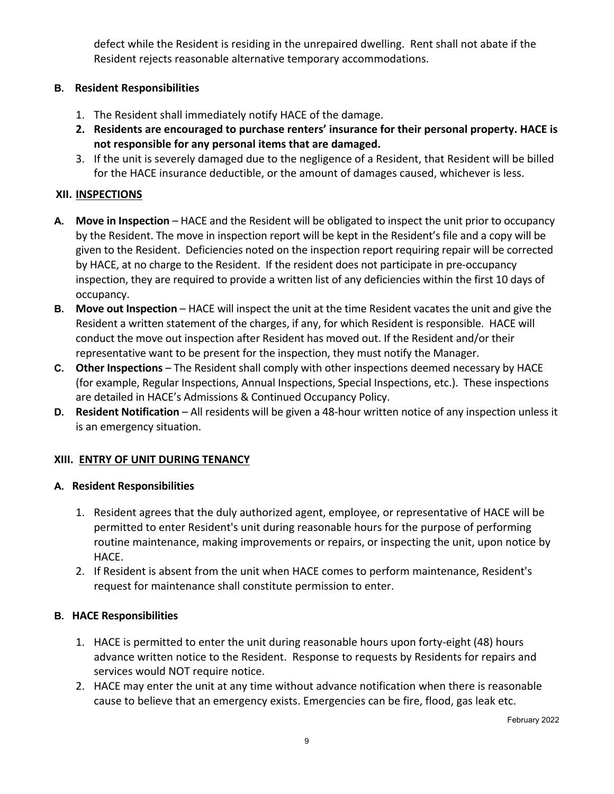defect while the Resident is residing in the unrepaired dwelling. Rent shall not abate if the Resident rejects reasonable alternative temporary accommodations.

#### **B. Resident Responsibilities**

- 1. The Resident shall immediately notify HACE of the damage.
- **2. Residents are encouraged to purchase renters' insurance for their personal property. HACE is not responsible for any personal items that are damaged.**
- 3. If the unit is severely damaged due to the negligence of a Resident, that Resident will be billed for the HACE insurance deductible, or the amount of damages caused, whichever is less.

#### **XII. INSPECTIONS**

- **A. Move in Inspection** HACE and the Resident will be obligated to inspect the unit prior to occupancy by the Resident. The move in inspection report will be kept in the Resident's file and a copy will be given to the Resident. Deficiencies noted on the inspection report requiring repair will be corrected by HACE, at no charge to the Resident. If the resident does not participate in pre-occupancy inspection, they are required to provide a written list of any deficiencies within the first 10 days of occupancy.
- **B. Move out Inspection** HACE will inspect the unit at the time Resident vacates the unit and give the Resident a written statement of the charges, if any, for which Resident is responsible. HACE will conduct the move out inspection after Resident has moved out. If the Resident and/or their representative want to be present for the inspection, they must notify the Manager.
- **C. Other Inspections** The Resident shall comply with other inspections deemed necessary by HACE (for example, Regular Inspections, Annual Inspections, Special Inspections, etc.). These inspections are detailed in HACE's Admissions & Continued Occupancy Policy.
- **D. Resident Notification** All residents will be given a 48-hour written notice of any inspection unless it is an emergency situation.

#### **XIII. ENTRY OF UNIT DURING TENANCY**

#### **A. Resident Responsibilities**

- 1. Resident agrees that the duly authorized agent, employee, or representative of HACE will be permitted to enter Resident's unit during reasonable hours for the purpose of performing routine maintenance, making improvements or repairs, or inspecting the unit, upon notice by HACE.
- 2. If Resident is absent from the unit when HACE comes to perform maintenance, Resident's request for maintenance shall constitute permission to enter.

#### **B. HACE Responsibilities**

- 1. HACE is permitted to enter the unit during reasonable hours upon forty-eight (48) hours advance written notice to the Resident. Response to requests by Residents for repairs and services would NOT require notice.
- 2. HACE may enter the unit at any time without advance notification when there is reasonable cause to believe that an emergency exists. Emergencies can be fire, flood, gas leak etc.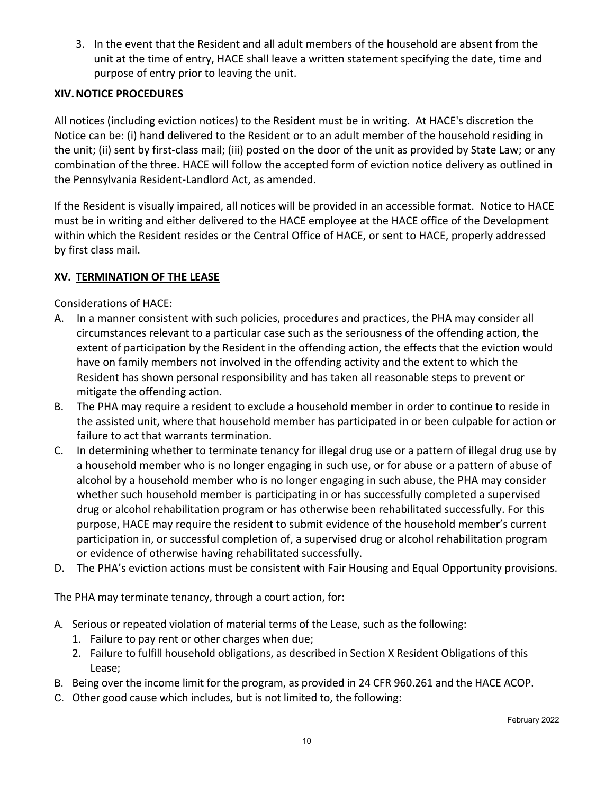3. In the event that the Resident and all adult members of the household are absent from the unit at the time of entry, HACE shall leave a written statement specifying the date, time and purpose of entry prior to leaving the unit.

# **XIV.NOTICE PROCEDURES**

All notices (including eviction notices) to the Resident must be in writing. At HACE's discretion the Notice can be: (i) hand delivered to the Resident or to an adult member of the household residing in the unit; (ii) sent by first-class mail; (iii) posted on the door of the unit as provided by State Law; or any combination of the three. HACE will follow the accepted form of eviction notice delivery as outlined in the Pennsylvania Resident-Landlord Act, as amended.

If the Resident is visually impaired, all notices will be provided in an accessible format. Notice to HACE must be in writing and either delivered to the HACE employee at the HACE office of the Development within which the Resident resides or the Central Office of HACE, or sent to HACE, properly addressed by first class mail.

# **XV. TERMINATION OF THE LEASE**

Considerations of HACE:

- A. In a manner consistent with such policies, procedures and practices, the PHA may consider all circumstances relevant to a particular case such as the seriousness of the offending action, the extent of participation by the Resident in the offending action, the effects that the eviction would have on family members not involved in the offending activity and the extent to which the Resident has shown personal responsibility and has taken all reasonable steps to prevent or mitigate the offending action.
- B. The PHA may require a resident to exclude a household member in order to continue to reside in the assisted unit, where that household member has participated in or been culpable for action or failure to act that warrants termination.
- C. In determining whether to terminate tenancy for illegal drug use or a pattern of illegal drug use by a household member who is no longer engaging in such use, or for abuse or a pattern of abuse of alcohol by a household member who is no longer engaging in such abuse, the PHA may consider whether such household member is participating in or has successfully completed a supervised drug or alcohol rehabilitation program or has otherwise been rehabilitated successfully. For this purpose, HACE may require the resident to submit evidence of the household member's current participation in, or successful completion of, a supervised drug or alcohol rehabilitation program or evidence of otherwise having rehabilitated successfully.
- D. The PHA's eviction actions must be consistent with Fair Housing and Equal Opportunity provisions.

The PHA may terminate tenancy, through a court action, for:

- A. Serious or repeated violation of material terms of the Lease, such as the following:
	- 1. Failure to pay rent or other charges when due;
	- 2. Failure to fulfill household obligations, as described in Section X Resident Obligations of this Lease;
- B. Being over the income limit for the program, as provided in 24 CFR 960.261 and the HACE ACOP.
- C. Other good cause which includes, but is not limited to, the following: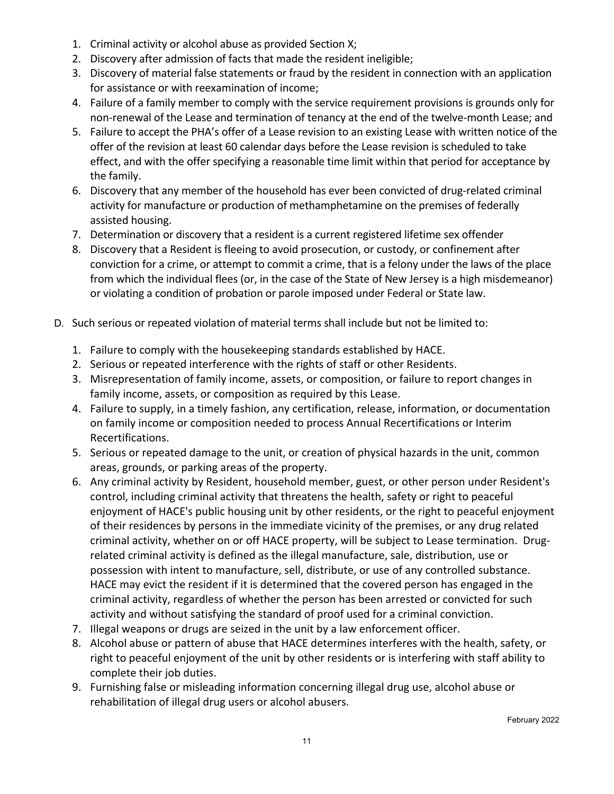- 1. Criminal activity or alcohol abuse as provided Section X;
- 2. Discovery after admission of facts that made the resident ineligible;
- 3. Discovery of material false statements or fraud by the resident in connection with an application for assistance or with reexamination of income;
- 4. Failure of a family member to comply with the service requirement provisions is grounds only for non-renewal of the Lease and termination of tenancy at the end of the twelve-month Lease; and
- 5. Failure to accept the PHA's offer of a Lease revision to an existing Lease with written notice of the offer of the revision at least 60 calendar days before the Lease revision is scheduled to take effect, and with the offer specifying a reasonable time limit within that period for acceptance by the family.
- 6. Discovery that any member of the household has ever been convicted of drug-related criminal activity for manufacture or production of methamphetamine on the premises of federally assisted housing.
- 7. Determination or discovery that a resident is a current registered lifetime sex offender
- 8. Discovery that a Resident is fleeing to avoid prosecution, or custody, or confinement after conviction for a crime, or attempt to commit a crime, that is a felony under the laws of the place from which the individual flees (or, in the case of the State of New Jersey is a high misdemeanor) or violating a condition of probation or parole imposed under Federal or State law.
- D. Such serious or repeated violation of material terms shall include but not be limited to:
	- 1. Failure to comply with the housekeeping standards established by HACE.
	- 2. Serious or repeated interference with the rights of staff or other Residents.
	- 3. Misrepresentation of family income, assets, or composition, or failure to report changes in family income, assets, or composition as required by this Lease.
	- 4. Failure to supply, in a timely fashion, any certification, release, information, or documentation on family income or composition needed to process Annual Recertifications or Interim Recertifications.
	- 5. Serious or repeated damage to the unit, or creation of physical hazards in the unit, common areas, grounds, or parking areas of the property.
	- 6. Any criminal activity by Resident, household member, guest, or other person under Resident's control, including criminal activity that threatens the health, safety or right to peaceful enjoyment of HACE's public housing unit by other residents, or the right to peaceful enjoyment of their residences by persons in the immediate vicinity of the premises, or any drug related criminal activity, whether on or off HACE property, will be subject to Lease termination. Drugrelated criminal activity is defined as the illegal manufacture, sale, distribution, use or possession with intent to manufacture, sell, distribute, or use of any controlled substance. HACE may evict the resident if it is determined that the covered person has engaged in the criminal activity, regardless of whether the person has been arrested or convicted for such activity and without satisfying the standard of proof used for a criminal conviction.
	- 7. Illegal weapons or drugs are seized in the unit by a law enforcement officer.
	- 8. Alcohol abuse or pattern of abuse that HACE determines interferes with the health, safety, or right to peaceful enjoyment of the unit by other residents or is interfering with staff ability to complete their job duties.
	- 9. Furnishing false or misleading information concerning illegal drug use, alcohol abuse or rehabilitation of illegal drug users or alcohol abusers.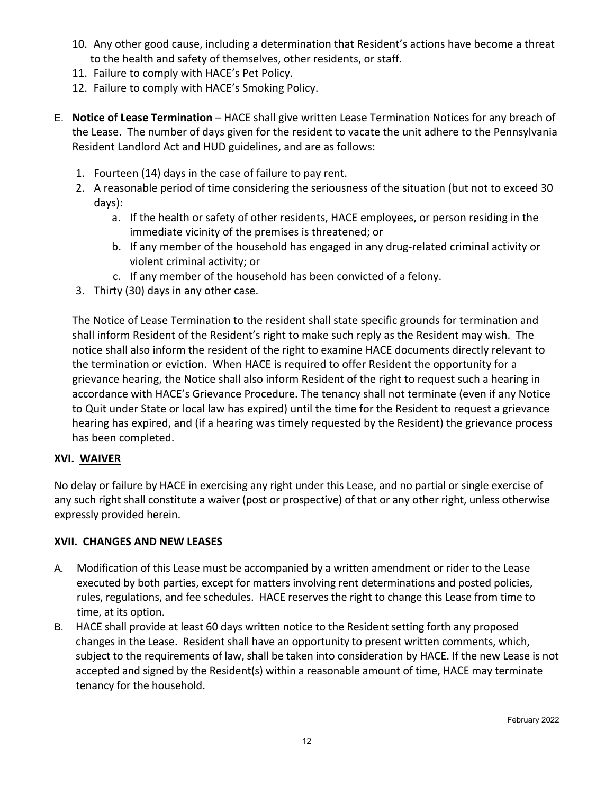- 10. Any other good cause, including a determination that Resident's actions have become a threat to the health and safety of themselves, other residents, or staff.
- 11. Failure to comply with HACE's Pet Policy.
- 12. Failure to comply with HACE's Smoking Policy.
- E. **Notice of Lease Termination** HACE shall give written Lease Termination Notices for any breach of the Lease. The number of days given for the resident to vacate the unit adhere to the Pennsylvania Resident Landlord Act and HUD guidelines, and are as follows:
	- 1. Fourteen (14) days in the case of failure to pay rent.
	- 2. A reasonable period of time considering the seriousness of the situation (but not to exceed 30 days):
		- a. If the health or safety of other residents, HACE employees, or person residing in the immediate vicinity of the premises is threatened; or
		- b. If any member of the household has engaged in any drug-related criminal activity or violent criminal activity; or
		- c. If any member of the household has been convicted of a felony.
	- 3. Thirty (30) days in any other case.

The Notice of Lease Termination to the resident shall state specific grounds for termination and shall inform Resident of the Resident's right to make such reply as the Resident may wish. The notice shall also inform the resident of the right to examine HACE documents directly relevant to the termination or eviction. When HACE is required to offer Resident the opportunity for a grievance hearing, the Notice shall also inform Resident of the right to request such a hearing in accordance with HACE's Grievance Procedure. The tenancy shall not terminate (even if any Notice to Quit under State or local law has expired) until the time for the Resident to request a grievance hearing has expired, and (if a hearing was timely requested by the Resident) the grievance process has been completed.

#### **XVI. WAIVER**

No delay or failure by HACE in exercising any right under this Lease, and no partial or single exercise of any such right shall constitute a waiver (post or prospective) of that or any other right, unless otherwise expressly provided herein.

#### **XVII. CHANGES AND NEW LEASES**

- A. Modification of this Lease must be accompanied by a written amendment or rider to the Lease executed by both parties, except for matters involving rent determinations and posted policies, rules, regulations, and fee schedules. HACE reserves the right to change this Lease from time to time, at its option.
- B. HACE shall provide at least 60 days written notice to the Resident setting forth any proposed changes in the Lease. Resident shall have an opportunity to present written comments, which, subject to the requirements of law, shall be taken into consideration by HACE. If the new Lease is not accepted and signed by the Resident(s) within a reasonable amount of time, HACE may terminate tenancy for the household.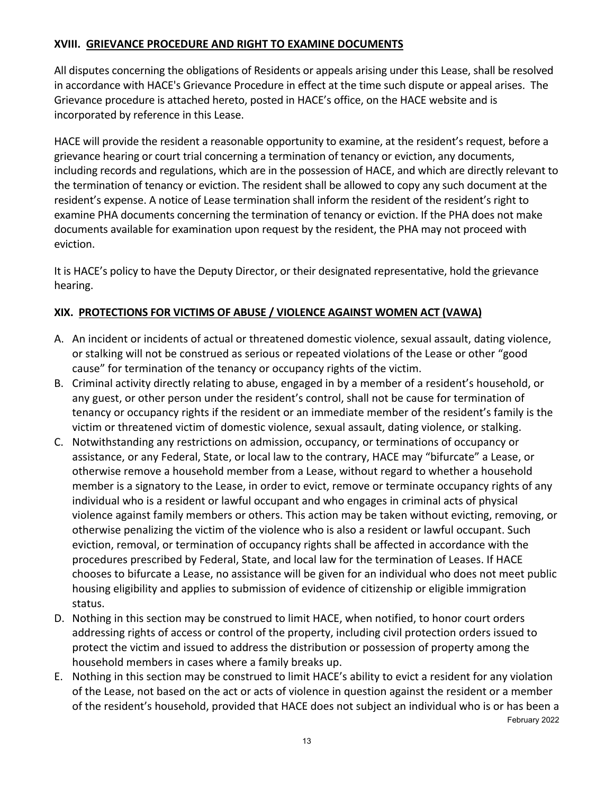# **XVIII. GRIEVANCE PROCEDURE AND RIGHT TO EXAMINE DOCUMENTS**

All disputes concerning the obligations of Residents or appeals arising under this Lease, shall be resolved in accordance with HACE's Grievance Procedure in effect at the time such dispute or appeal arises. The Grievance procedure is attached hereto, posted in HACE's office, on the HACE website and is incorporated by reference in this Lease.

HACE will provide the resident a reasonable opportunity to examine, at the resident's request, before a grievance hearing or court trial concerning a termination of tenancy or eviction, any documents, including records and regulations, which are in the possession of HACE, and which are directly relevant to the termination of tenancy or eviction. The resident shall be allowed to copy any such document at the resident's expense. A notice of Lease termination shall inform the resident of the resident's right to examine PHA documents concerning the termination of tenancy or eviction. If the PHA does not make documents available for examination upon request by the resident, the PHA may not proceed with eviction.

It is HACE's policy to have the Deputy Director, or their designated representative, hold the grievance hearing.

#### **XIX. PROTECTIONS FOR VICTIMS OF ABUSE / VIOLENCE AGAINST WOMEN ACT (VAWA)**

- A. An incident or incidents of actual or threatened domestic violence, sexual assault, dating violence, or stalking will not be construed as serious or repeated violations of the Lease or other "good cause" for termination of the tenancy or occupancy rights of the victim.
- B. Criminal activity directly relating to abuse, engaged in by a member of a resident's household, or any guest, or other person under the resident's control, shall not be cause for termination of tenancy or occupancy rights if the resident or an immediate member of the resident's family is the victim or threatened victim of domestic violence, sexual assault, dating violence, or stalking.
- C. Notwithstanding any restrictions on admission, occupancy, or terminations of occupancy or assistance, or any Federal, State, or local law to the contrary, HACE may "bifurcate" a Lease, or otherwise remove a household member from a Lease, without regard to whether a household member is a signatory to the Lease, in order to evict, remove or terminate occupancy rights of any individual who is a resident or lawful occupant and who engages in criminal acts of physical violence against family members or others. This action may be taken without evicting, removing, or otherwise penalizing the victim of the violence who is also a resident or lawful occupant. Such eviction, removal, or termination of occupancy rights shall be affected in accordance with the procedures prescribed by Federal, State, and local law for the termination of Leases. If HACE chooses to bifurcate a Lease, no assistance will be given for an individual who does not meet public housing eligibility and applies to submission of evidence of citizenship or eligible immigration status.
- D. Nothing in this section may be construed to limit HACE, when notified, to honor court orders addressing rights of access or control of the property, including civil protection orders issued to protect the victim and issued to address the distribution or possession of property among the household members in cases where a family breaks up.
- February 2022 E. Nothing in this section may be construed to limit HACE's ability to evict a resident for any violation of the Lease, not based on the act or acts of violence in question against the resident or a member of the resident's household, provided that HACE does not subject an individual who is or has been a

13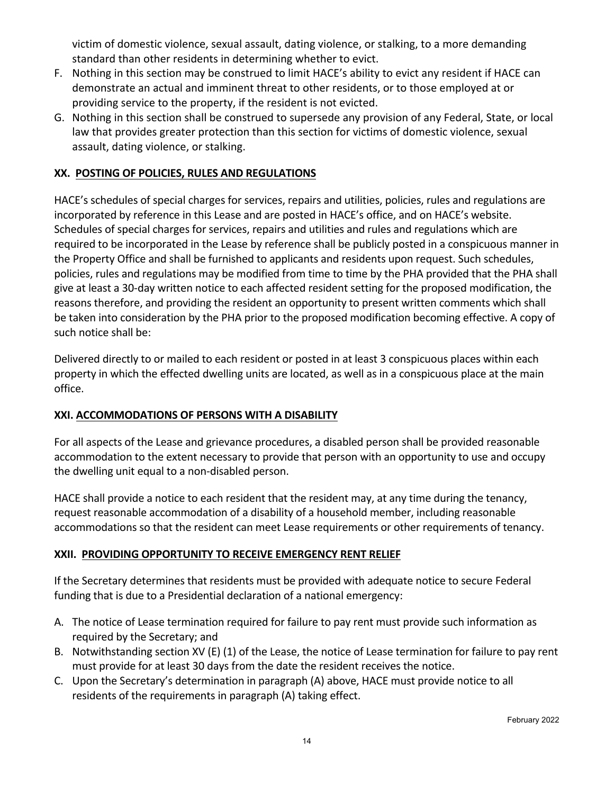victim of domestic violence, sexual assault, dating violence, or stalking, to a more demanding standard than other residents in determining whether to evict.

- F. Nothing in this section may be construed to limit HACE's ability to evict any resident if HACE can demonstrate an actual and imminent threat to other residents, or to those employed at or providing service to the property, if the resident is not evicted.
- G. Nothing in this section shall be construed to supersede any provision of any Federal, State, or local law that provides greater protection than this section for victims of domestic violence, sexual assault, dating violence, or stalking.

# **XX. POSTING OF POLICIES, RULES AND REGULATIONS**

HACE's schedules of special charges for services, repairs and utilities, policies, rules and regulations are incorporated by reference in this Lease and are posted in HACE's office, and on HACE's website. Schedules of special charges for services, repairs and utilities and rules and regulations which are required to be incorporated in the Lease by reference shall be publicly posted in a conspicuous manner in the Property Office and shall be furnished to applicants and residents upon request. Such schedules, policies, rules and regulations may be modified from time to time by the PHA provided that the PHA shall give at least a 30-day written notice to each affected resident setting for the proposed modification, the reasons therefore, and providing the resident an opportunity to present written comments which shall be taken into consideration by the PHA prior to the proposed modification becoming effective. A copy of such notice shall be:

Delivered directly to or mailed to each resident or posted in at least 3 conspicuous places within each property in which the effected dwelling units are located, as well as in a conspicuous place at the main office.

#### **XXI. ACCOMMODATIONS OF PERSONS WITH A DISABILITY**

For all aspects of the Lease and grievance procedures, a disabled person shall be provided reasonable accommodation to the extent necessary to provide that person with an opportunity to use and occupy the dwelling unit equal to a non-disabled person.

HACE shall provide a notice to each resident that the resident may, at any time during the tenancy, request reasonable accommodation of a disability of a household member, including reasonable accommodations so that the resident can meet Lease requirements or other requirements of tenancy.

#### **XXII. PROVIDING OPPORTUNITY TO RECEIVE EMERGENCY RENT RELIEF**

If the Secretary determines that residents must be provided with adequate notice to secure Federal funding that is due to a Presidential declaration of a national emergency:

- A. The notice of Lease termination required for failure to pay rent must provide such information as required by the Secretary; and
- B. Notwithstanding section XV (E) (1) of the Lease, the notice of Lease termination for failure to pay rent must provide for at least 30 days from the date the resident receives the notice.
- C. Upon the Secretary's determination in paragraph (A) above, HACE must provide notice to all residents of the requirements in paragraph (A) taking effect.